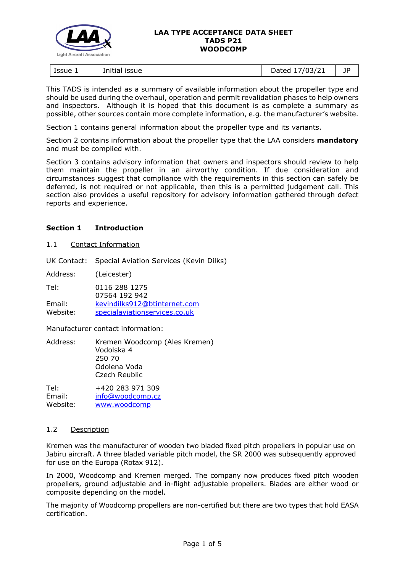

| ssue 1<br>issue<br>Initial | 1021<br>.<br>07<br>ــ∠/د'<br>.,<br>2000 | --<br>ΙL<br>- 1 |
|----------------------------|-----------------------------------------|-----------------|
|----------------------------|-----------------------------------------|-----------------|

This TADS is intended as a summary of available information about the propeller type and should be used during the overhaul, operation and permit revalidation phases to help owners and inspectors. Although it is hoped that this document is as complete a summary as possible, other sources contain more complete information, e.g. the manufacturer's website.

Section 1 contains general information about the propeller type and its variants.

Section 2 contains information about the propeller type that the LAA considers **mandatory** and must be complied with.

Section 3 contains advisory information that owners and inspectors should review to help them maintain the propeller in an airworthy condition. If due consideration and circumstances suggest that compliance with the requirements in this section can safely be deferred, is not required or not applicable, then this is a permitted judgement call. This section also provides a useful repository for advisory information gathered through defect reports and experience.

# **Section 1 Introduction**

#### 1.1 Contact Information

UK Contact: Special Aviation Services (Kevin Dilks)

Address: (Leicester)

Tel: 0116 288 1275 07564 192 942

Email: [kevindilks912@btinternet.com](mailto:kevindilks912@btinternet.com) Website: [specialaviationservices.co.uk](https://specialaviationservices.co.uk/)

Manufacturer contact information:

Address: Kremen Woodcomp (Ales Kremen) Vodolska 4 250 70 Odolena Voda Czech Reublic

Tel: +420 283 971 309 Email: [info@woodcomp.cz](mailto:info@woodcomp.cz) Website: [www.woodcomp](http://www.woodcomp.cz/)

## 1.2 Description

Kremen was the manufacturer of wooden two bladed fixed pitch propellers in popular use on Jabiru aircraft. A three bladed variable pitch model, the SR 2000 was subsequently approved for use on the Europa (Rotax 912).

In 2000, Woodcomp and Kremen merged. The company now produces fixed pitch wooden propellers, ground adjustable and in-flight adjustable propellers. Blades are either wood or composite depending on the model.

The majority of Woodcomp propellers are non-certified but there are two types that hold EASA certification.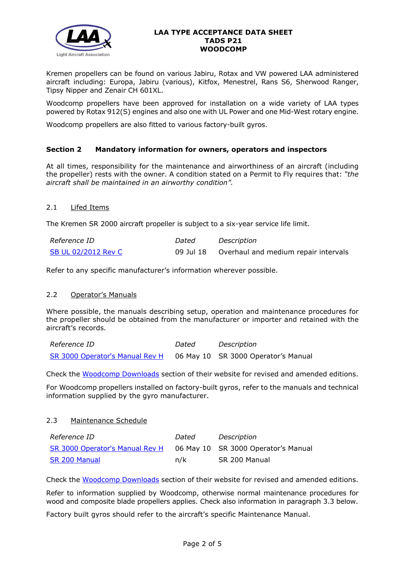

Kremen propellers can be found on various Jabiru, Rotax and VW powered LAA administered aircraft including: Europa, Jabiru (various), Kitfox, Menestrel, Rans S6, Sherwood Ranger, Tipsy Nipper and Zenair CH 601XL.

Woodcomp propellers have been approved for installation on a wide variety of LAA types powered by Rotax 912(S) engines and also one with UL Power and one Mid-West rotary engine.

Woodcomp propellers are also fitted to various factory-built gyros.

## **Section 2 Mandatory information for owners, operators and inspectors**

At all times, responsibility for the maintenance and airworthiness of an aircraft (including the propeller) rests with the owner. A condition stated on a Permit to Fly requires that: *"the aircraft shall be maintained in an airworthy condition".* 

## 2.1 Lifed Items

The Kremen SR 2000 aircraft propeller is subject to a six-year service life limit.

| Reference ID        | Dated     | Description                          |
|---------------------|-----------|--------------------------------------|
| SB UL 02/2012 Rev C | 09 Jul 18 | Overhaul and medium repair intervals |

Refer to any specific manufacturer's information wherever possible.

## 2.2 Operator's Manuals

Where possible, the manuals describing setup, operation and maintenance procedures for the propeller should be obtained from the manufacturer or importer and retained with the aircraft's records.

*Reference ID Dated Description* [SR 3000 Operator's Manual Rev H](http://www.lightaircraftassociation.co.uk/engineering/TADs/P21/sr3000revhen.pdf) 06 May 10 SR 3000 Operator's Manual

Check the [Woodcomp Downloads](http://www.woodcomp.cz/downloads/) section of their website for revised and amended editions.

For Woodcomp propellers installed on factory-built gyros, refer to the manuals and technical information supplied by the gyro manufacturer.

## 2.3 Maintenance Schedule

| <i>Reference ID</i>             | Dated | Description                         |
|---------------------------------|-------|-------------------------------------|
| SR 3000 Operator's Manual Rev H |       | 06 May 10 SR 3000 Operator's Manual |
| <b>SR 200 Manual</b>            | n/k   | SR 200 Manual                       |

Check the [Woodcomp Downloads](http://www.woodcomp.cz/downloads/) section of their website for revised and amended editions.

Refer to information supplied by Woodcomp, otherwise normal maintenance procedures for wood and composite blade propellers applies. Check also information in paragraph 3.3 below.

Factory built gyros should refer to the aircraft's specific Maintenance Manual.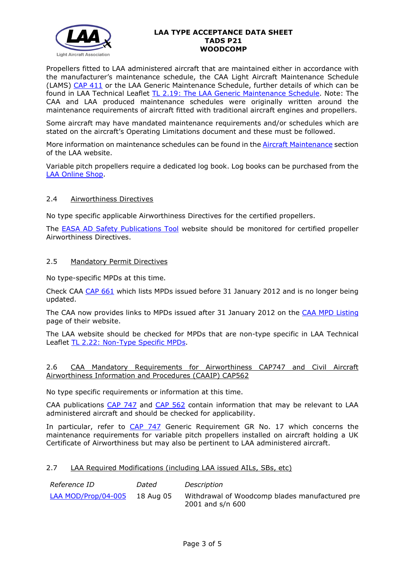

Propellers fitted to LAA administered aircraft that are maintained either in accordance with the manufacturer's maintenance schedule, the CAA Light Aircraft Maintenance Schedule (LAMS) [CAP 411](http://www.caa.co.uk/CAP411) or the LAA Generic Maintenance Schedule, further details of which can be found in LAA Technical Leaflet [TL 2.19: The LAA Generic Maintenance Schedule.](http://www.lightaircraftassociation.co.uk/engineering/TechnicalLeaflets/Operating%20An%20Aircraft/TL%202.19%20The%20LAA%20Generic%20Maintenance%20Schedule.pdf) Note: The CAA and LAA produced maintenance schedules were originally written around the maintenance requirements of aircraft fitted with traditional aircraft engines and propellers.

Some aircraft may have mandated maintenance requirements and/or schedules which are stated on the aircraft's Operating Limitations document and these must be followed.

More information on maintenance schedules can be found in the [Aircraft Maintenance](http://www.lightaircraftassociation.co.uk/engineering/Maintenance/Aircraft_Maintenance.html) section of the LAA website.

Variable pitch propellers require a dedicated log book. Log books can be purchased from the [LAA Online Shop.](https://services.lightaircraftassociation.co.uk/catalog/265)

## 2.4 Airworthiness Directives

No type specific applicable Airworthiness Directives for the certified propellers.

The [EASA AD Safety Publications Tool](https://ad.easa.europa.eu/search/advanced) website should be monitored for certified propeller Airworthiness Directives.

## 2.5 Mandatory Permit Directives

No type-specific MPDs at this time.

Check CAA [CAP 661](http://www.caa.co.uk/cap661) which lists MPDs issued before 31 January 2012 and is no longer being updated.

The CAA now provides links to MPDs issued after 31 January 2012 on the [CAA MPD Listing](http://publicapps.caa.co.uk/modalapplication.aspx?appid=11&mode=list&type=sercat&id=55) page of their website.

The LAA website should be checked for MPDs that are non-type specific in LAA Technical Leaflet [TL 2.22: Non-Type Specific MPDs.](http://www.lightaircraftassociation.co.uk/engineering/TechnicalLeaflets/Operating%20An%20Aircraft/TL%202.22%20non-type%20specific%20MPDs.pdf)

## 2.6 CAA Mandatory Requirements for Airworthiness CAP747 and Civil Aircraft Airworthiness Information and Procedures (CAAIP) CAP562

No type specific requirements or information at this time.

CAA publications [CAP 747](http://www.caa.co.uk/CAP747) and [CAP 562](http://www.caa.co.uk/CAP562) contain information that may be relevant to LAA administered aircraft and should be checked for applicability.

In particular, refer to [CAP 747](http://www.caa.co.uk/CAP747) Generic Requirement GR No. 17 which concerns the maintenance requirements for variable pitch propellers installed on aircraft holding a UK Certificate of Airworthiness but may also be pertinent to LAA administered aircraft.

## 2.7 LAA Required Modifications (including LAA issued AILs, SBs, etc)

| Reference ID        | Dated     | Description                                                        |
|---------------------|-----------|--------------------------------------------------------------------|
| LAA MOD/Prop/04-005 | 18 Aug 05 | Withdrawal of Woodcomp blades manufactured pre<br>2001 and s/n 600 |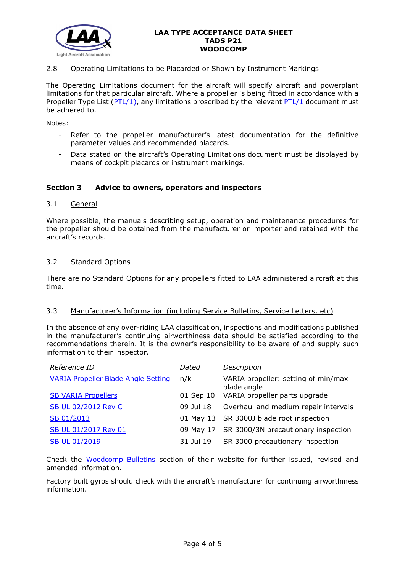

## 2.8 Operating Limitations to be Placarded or Shown by Instrument Markings

The Operating Limitations document for the aircraft will specify aircraft and powerplant limitations for that particular aircraft. Where a propeller is being fitted in accordance with a Propeller Type List [\(PTL/1\)](http://www.lightaircraftassociation.co.uk/engineering/NewMods/PTL.html), any limitations proscribed by the relevant [PTL/1](http://www.lightaircraftassociation.co.uk/engineering/NewMods/PTL.html) document must be adhered to.

Notes:

- Refer to the propeller manufacturer's latest documentation for the definitive parameter values and recommended placards.
- Data stated on the aircraft's Operating Limitations document must be displayed by means of cockpit placards or instrument markings.

## **Section 3 Advice to owners, operators and inspectors**

## 3.1 General

Where possible, the manuals describing setup, operation and maintenance procedures for the propeller should be obtained from the manufacturer or importer and retained with the aircraft's records.

#### 3.2 Standard Options

There are no Standard Options for any propellers fitted to LAA administered aircraft at this time.

#### 3.3 Manufacturer's Information (including Service Bulletins, Service Letters, etc)

In the absence of any over-riding LAA classification, inspections and modifications published in the manufacturer's continuing airworthiness data should be satisfied according to the recommendations therein. It is the owner's responsibility to be aware of and supply such information to their inspector.

| Reference ID                               | Dated     | Description                                        |
|--------------------------------------------|-----------|----------------------------------------------------|
| <b>VARIA Propeller Blade Angle Setting</b> | n/k       | VARIA propeller: setting of min/max<br>blade angle |
| <b>SB VARIA Propellers</b>                 |           | 01 Sep 10 VARIA propeller parts upgrade            |
| SB UL 02/2012 Rev C                        | 09 Jul 18 | Overhaul and medium repair intervals               |
| SB 01/2013                                 |           | 01 May 13 SR 3000J blade root inspection           |
| SB UL 01/2017 Rev 01                       |           | 09 May 17 SR 3000/3N precautionary inspection      |
| <b>SB UL 01/2019</b>                       | 31 Jul 19 | SR 3000 precautionary inspection                   |
|                                            |           |                                                    |

Check the [Woodcomp Bulletins](http://www.woodcomp.cz/bulletins/) section of their website for further issued, revised and amended information.

Factory built gyros should check with the aircraft's manufacturer for continuing airworthiness information.